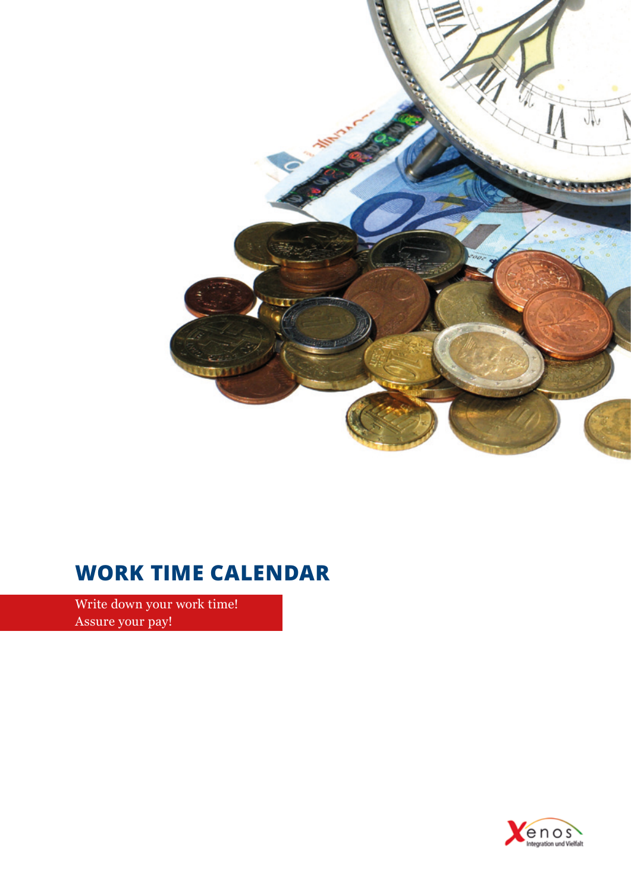

# **Work Time Calendar**

Write down your work time! Assure your pay!

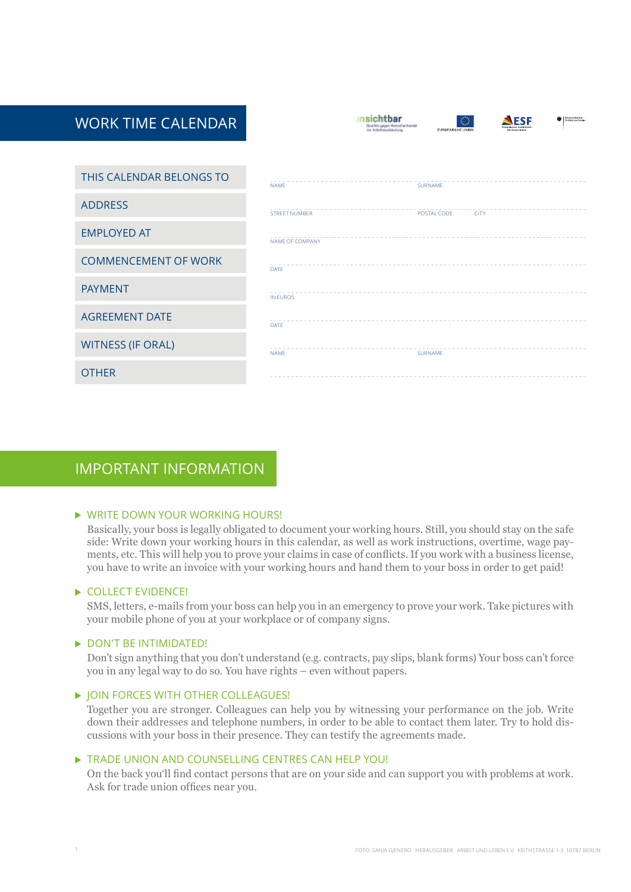| <b>WORK TIME CALENDAR</b>   | sichthar<br><sup>(</sup> Fundesministerium<br>Für Arbeit und Sozialea<br>FSF<br>Bündnis gegen Monschenhandel<br><b>Connectiveben Seviation</b><br><b>Jur Arbeitsausbeutung</b><br>EUROPÄISCHE UNION<br>für Dautschland |  |
|-----------------------------|------------------------------------------------------------------------------------------------------------------------------------------------------------------------------------------------------------------------|--|
|                             |                                                                                                                                                                                                                        |  |
| THIS CALENDAR BELONGS TO    | <b>NAME</b><br>SURNAME                                                                                                                                                                                                 |  |
| <b>ADDRESS</b>              | <b>STREET NUMBER</b><br>POSTAL CODE<br><b>CITY</b>                                                                                                                                                                     |  |
| <b>EMPLOYED AT</b>          | NAME OF COMPANY                                                                                                                                                                                                        |  |
| <b>COMMENCEMENT OF WORK</b> | DATE                                                                                                                                                                                                                   |  |
| <b>PAYMENT</b>              | <b>IN EUROS</b>                                                                                                                                                                                                        |  |
| <b>AGREEMENT DATE</b>       | DATE                                                                                                                                                                                                                   |  |
| <b>WITNESS (IF ORAL)</b>    | <b>NAME</b><br>SURNAME                                                                                                                                                                                                 |  |
| <b>OTHER</b>                |                                                                                                                                                                                                                        |  |

### important Information

#### $\triangleright$  WRITE DOWN YOUR WORKING HOURS!

Basically, your boss is legally obligated to document your working hours. Still, you should stay on the safe side: Write down your working hours in this calendar, as well as work instructions, overtime, wage payments, etc. This will help you to prove your claims in case of conflicts. If you work with a business license, you have to write an invoice with your working hours and hand them to your boss in order to get paid!

#### COLLECT EVIDENCE!

SMS, letters, e-mails from your boss can help you in an emergency to prove your work. Take pictures with your mobile phone of you at your workplace or of company signs.

#### DON'T BE INTIMIDATED!

Don't sign anything that you don't understand (e.g. contracts, pay slips, blank forms) Your boss can't force you in any legal way to do so. You have rights – even without papers.

#### $\triangleright$  JOIN FORCES WITH OTHER COLLEAGUES!

Together you are stronger. Colleagues can help you by witnessing your performance on the job. Write down their addresses and telephone numbers, in order to be able to contact them later. Try to hold discussions with your boss in their presence. They can testify the agreements made.

#### $\triangleright$  TRADE UNION AND COUNSELLING CENTRES CAN HELP YOU!

On the back you'll find contact persons that are on your side and can support you with problems at work. Ask for trade union offices near you.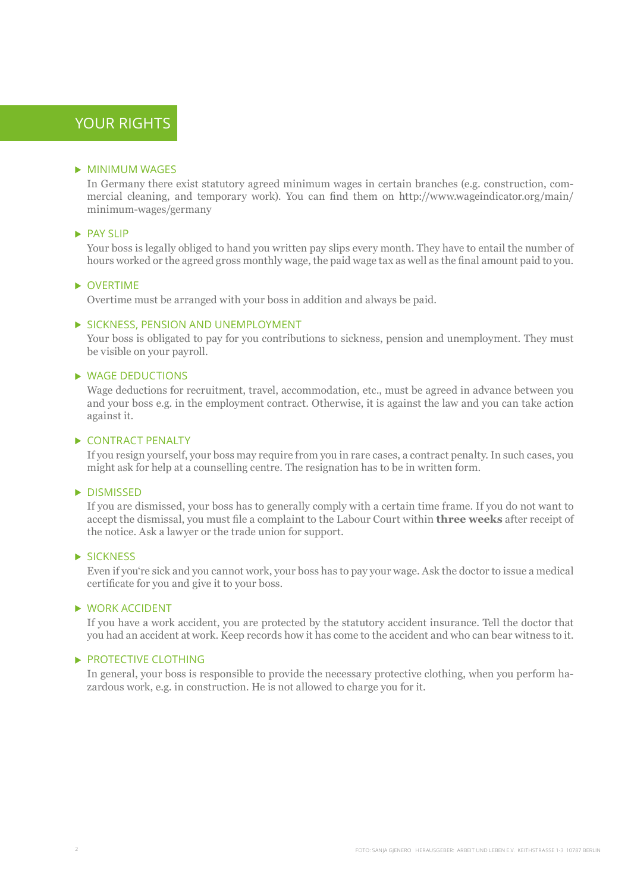## YOUR RIGHTS

#### **MINIMUM WAGES**

In Germany there exist statutory agreed minimum wages in certain branches (e.g. construction, commercial cleaning, and temporary work). You can find them on http://www.wageindicator.org/main/ minimum-wages/germany

#### $\blacktriangleright$  PAY SLIP

Your boss is legally obliged to hand you written pay slips every month. They have to entail the number of hours worked or the agreed gross monthly wage, the paid wage tax as well as the final amount paid to you.

#### $\triangleright$  OVERTIME

Overtime must be arranged with your boss in addition and always be paid.

#### SICKNESS, PENSION AND UNEMPLOYMENT

Your boss is obligated to pay for you contributions to sickness, pension and unemployment. They must be visible on your payroll.

#### ▶ WAGE DEDUCTIONS

Wage deductions for recruitment, travel, accommodation, etc., must be agreed in advance between you and your boss e.g. in the employment contract. Otherwise, it is against the law and you can take action against it.

#### CONTRACT PENALTY

If you resign yourself, your boss may require from you in rare cases, a contract penalty. In such cases, you might ask for help at a counselling centre. The resignation has to be in written form.

#### **DISMISSED**

If you are dismissed, your boss has to generally comply with a certain time frame. If you do not want to accept the dismissal, you must file a complaint to the Labour Court within **three weeks** after receipt of the notice. Ask a lawyer or the trade union for support.

#### SICKNESS

Even if you're sick and you cannot work, your boss has to pay your wage. Ask the doctor to issue a medical certificate for you and give it to your boss.

#### WORK ACCIDENT

If you have a work accident, you are protected by the statutory accident insurance. Tell the doctor that you had an accident at work. Keep records how it has come to the accident and who can bear witness to it.

#### PROTECTIVE CLOTHING

In general, your boss is responsible to provide the necessary protective clothing, when you perform hazardous work, e.g. in construction. He is not allowed to charge you for it.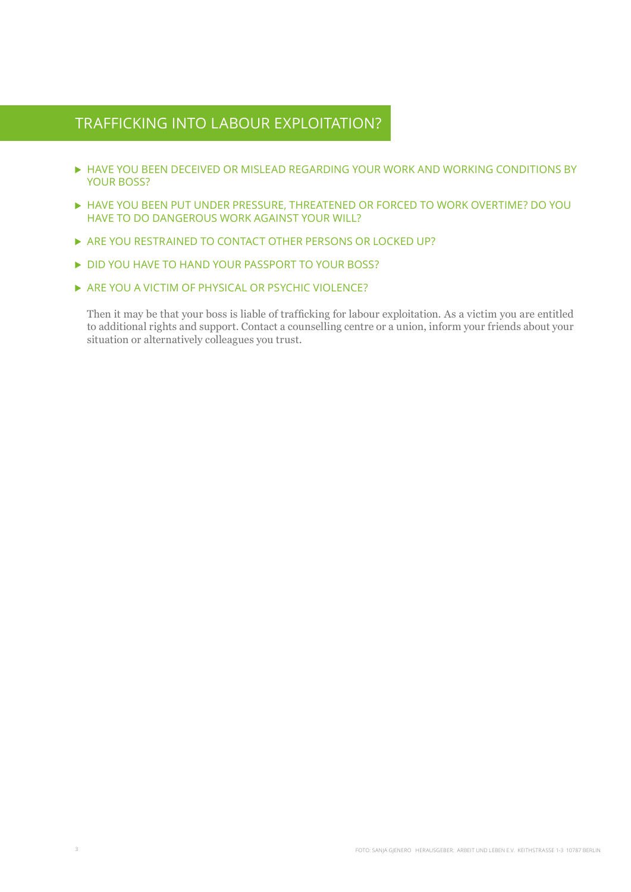### Trafficking into Labour Exploitation?

- ▶ HAVE YOU BEEN DECEIVED OR MISLEAD REGARDING YOUR WORK AND WORKING CONDITIONS BY YOUR BOSS?
- Have you been put under pressure, threatened or forced to work overtime? Do you have to do dangerous work against your will?
- ARE YOU RESTRAINED TO CONTACT OTHER PERSONS OR LOCKED UP?
- DID YOU HAVE TO HAND YOUR PASSPORT TO YOUR BOSS?
- ARE YOU A VICTIM OF PHYSICAL OR PSYCHIC VIOLENCE?

Then it may be that your boss is liable of trafficking for labour exploitation. As a victim you are entitled to additional rights and support. Contact a counselling centre or a union, inform your friends about your situation or alternatively colleagues you trust.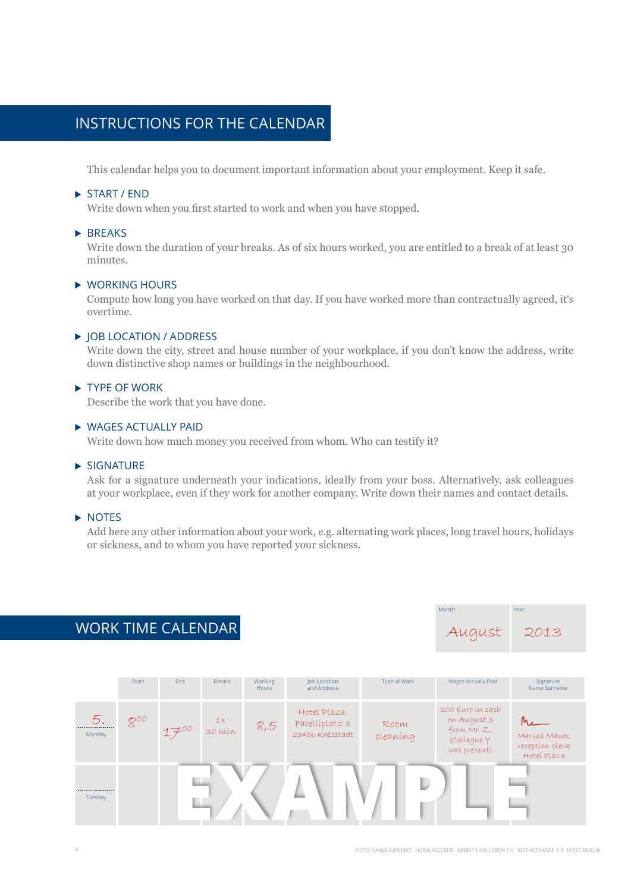## insTrucTions for The calendar

This calendar helps you to document important information about your employment. Keep it safe.

#### START / FND

Write down when you first started to work and when you have stopped.

#### $\blacktriangleright$  BREAKS

Write down the duration of your breaks. As of six hours worked, you are entitled to a break of at least 30 minutes.

#### working hours

Compute how long you have worked on that day. If you have worked more than contractually agreed, it's overtime.

#### ▶ IOB LOCATION / ADDRESS

Write down the city, street and house number of your workplace, if you don't know the address, write down distinctive shop names or buildings in the neighbourhood.

#### TYPE OF WORK

Describe the work that you have done.

#### wages acTually paid

Write down how much money you received from whom. Who can testify it?

#### $\blacktriangleright$  SIGNATURE

Ask for a signature underneath your indications, ideally from your boss. Alternatively, ask colleagues at your workplace, even if they work for another company. Write down their names and contact details.

#### $\triangleright$  NOTES

Add here any other information about your work, e.g. alternating work places, long travel hours, holidays or sickness, and to whom you have reported your sickness.

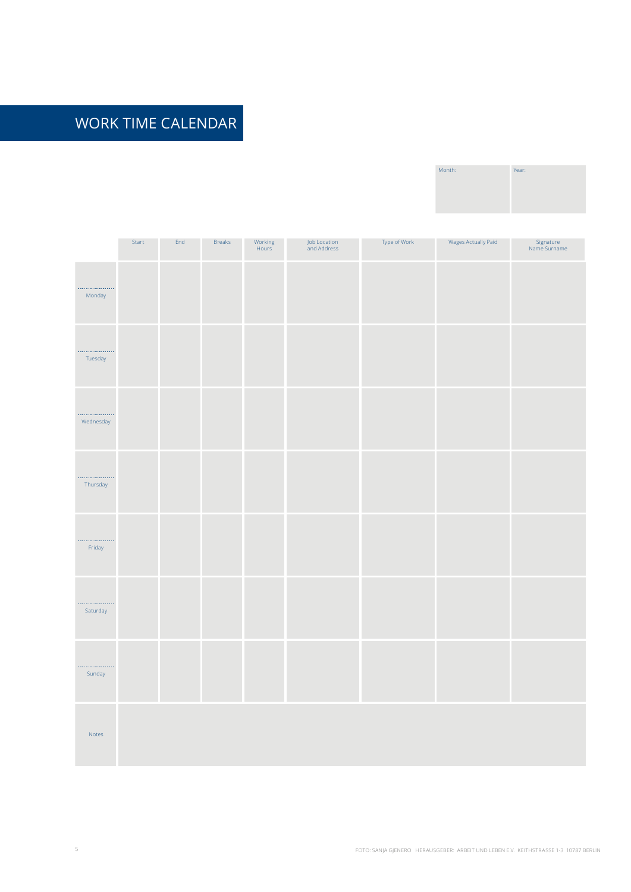| Month: | Year: |
|--------|-------|
|        |       |
|        |       |

|                | Start | End | <b>Breaks</b> | Working<br>Hours | Job Location<br>and Address | Type of Work | Wages Actually Paid | Signature<br>Name Surname |
|----------------|-------|-----|---------------|------------------|-----------------------------|--------------|---------------------|---------------------------|
| <br>Monday     |       |     |               |                  |                             |              |                     |                           |
| <br>Tuesday    |       |     |               |                  |                             |              |                     |                           |
| .<br>Wednesday |       |     |               |                  |                             |              |                     |                           |
| .<br>Thursday  |       |     |               |                  |                             |              |                     |                           |
| .<br>Friday    |       |     |               |                  |                             |              |                     |                           |
| .<br>Saturday  |       |     |               |                  |                             |              |                     |                           |
| <br>Sunday     |       |     |               |                  |                             |              |                     |                           |
| Notes          |       |     |               |                  |                             |              |                     |                           |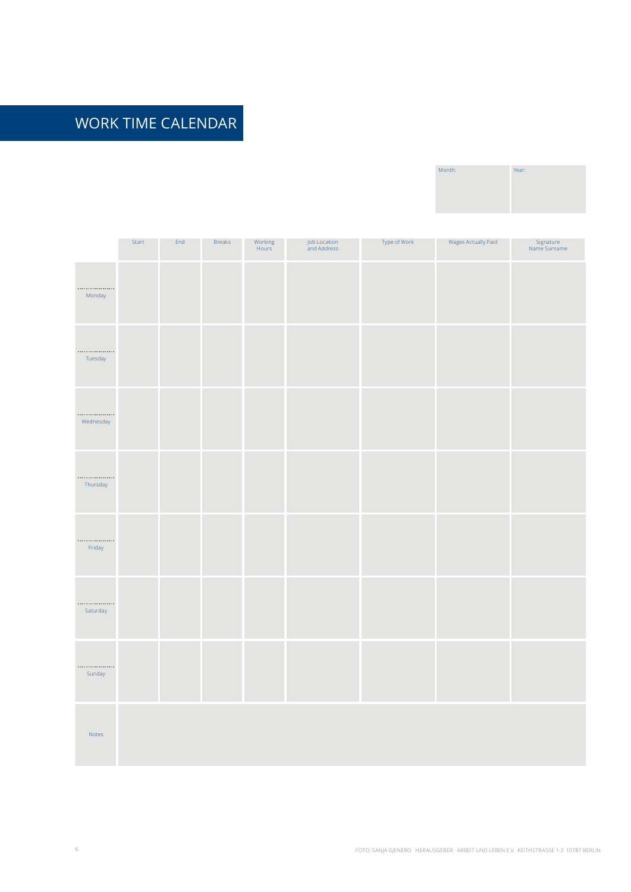| Month: | Year: |
|--------|-------|
|        |       |
|        |       |

|                            | Start | End | <b>Breaks</b> | Working<br>Hours | Job Location<br>and Address | Type of Work | Wages Actually Paid | Signature<br>Name Surname |
|----------------------------|-------|-----|---------------|------------------|-----------------------------|--------------|---------------------|---------------------------|
| .<br>Monday                |       |     |               |                  |                             |              |                     |                           |
| <br>Tuesday                |       |     |               |                  |                             |              |                     |                           |
| .<br>Wednesday             |       |     |               |                  |                             |              |                     |                           |
| .<br>Thursday              |       |     |               |                  |                             |              |                     |                           |
| .<br>Friday                |       |     |               |                  |                             |              |                     |                           |
| .<br>Saturday              |       |     |               |                  |                             |              |                     |                           |
| .<br>Sunday                |       |     |               |                  |                             |              |                     |                           |
| $\operatorname{\sf Notes}$ |       |     |               |                  |                             |              |                     |                           |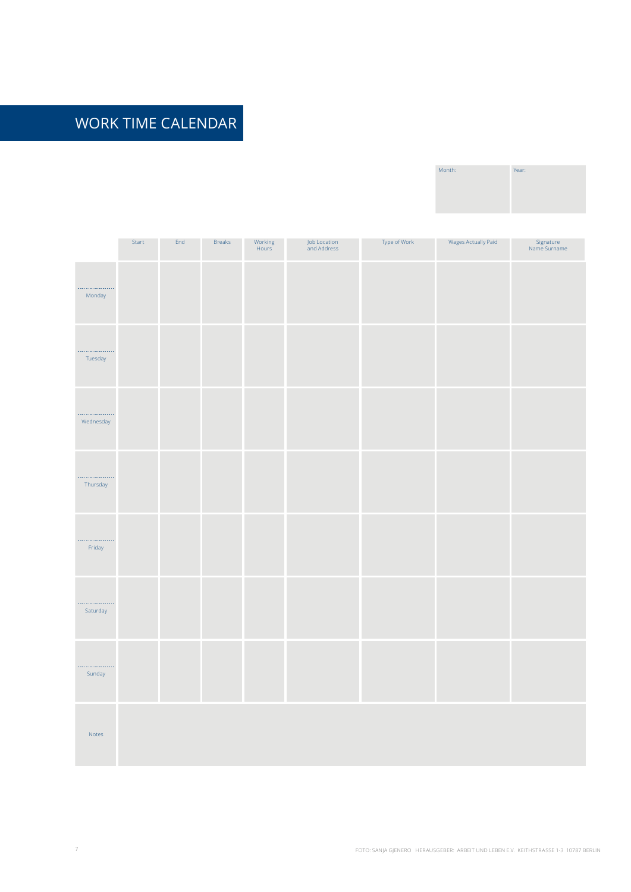| Month: | Year: |
|--------|-------|
|        |       |
|        |       |

|                            | Start | $\ensuremath{\mathsf{End}}$ | <b>Breaks</b> | Working<br>Hours | Job Location<br>and Address | Type of Work | Wages Actually Paid | Signature<br>Name Surname |
|----------------------------|-------|-----------------------------|---------------|------------------|-----------------------------|--------------|---------------------|---------------------------|
| .<br>Monday                |       |                             |               |                  |                             |              |                     |                           |
| <br>Tuesday                |       |                             |               |                  |                             |              |                     |                           |
| .<br>Wednesday             |       |                             |               |                  |                             |              |                     |                           |
| .<br>Thursday              |       |                             |               |                  |                             |              |                     |                           |
| .<br>Friday                |       |                             |               |                  |                             |              |                     |                           |
| <br>Saturday               |       |                             |               |                  |                             |              |                     |                           |
| <br>Sunday                 |       |                             |               |                  |                             |              |                     |                           |
| $\operatorname{\sf Notes}$ |       |                             |               |                  |                             |              |                     |                           |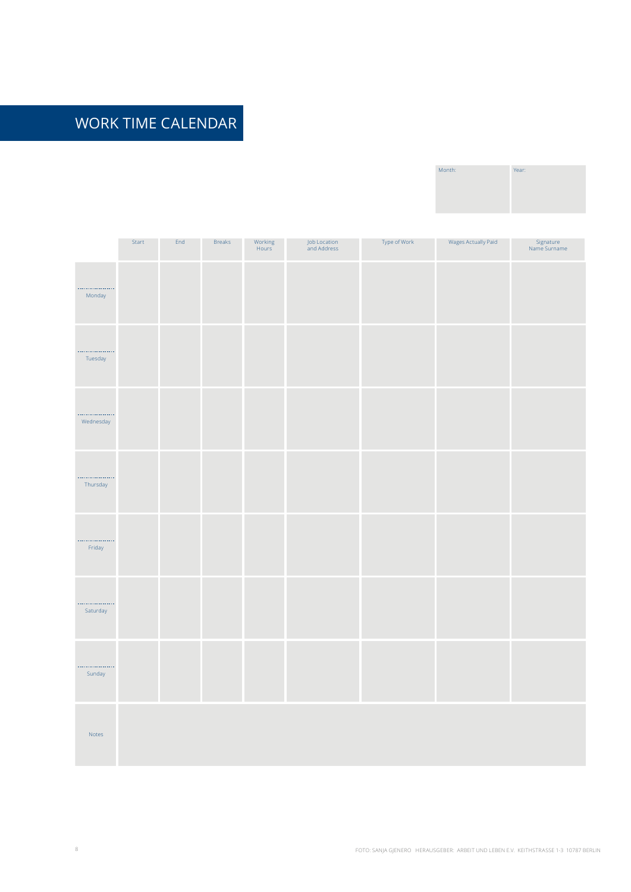| Month: | Year: |
|--------|-------|
|        |       |
|        |       |

|                            | Start | $\ensuremath{\mathsf{End}}$ | <b>Breaks</b> | Working<br>Hours | Job Location<br>and Address | Type of Work | Wages Actually Paid | Signature<br>Name Surname |
|----------------------------|-------|-----------------------------|---------------|------------------|-----------------------------|--------------|---------------------|---------------------------|
| .<br>Monday                |       |                             |               |                  |                             |              |                     |                           |
| <br>Tuesday                |       |                             |               |                  |                             |              |                     |                           |
| .<br>Wednesday             |       |                             |               |                  |                             |              |                     |                           |
| .<br>Thursday              |       |                             |               |                  |                             |              |                     |                           |
| .<br>Friday                |       |                             |               |                  |                             |              |                     |                           |
| <br>Saturday               |       |                             |               |                  |                             |              |                     |                           |
| <br>Sunday                 |       |                             |               |                  |                             |              |                     |                           |
| $\operatorname{\sf Notes}$ |       |                             |               |                  |                             |              |                     |                           |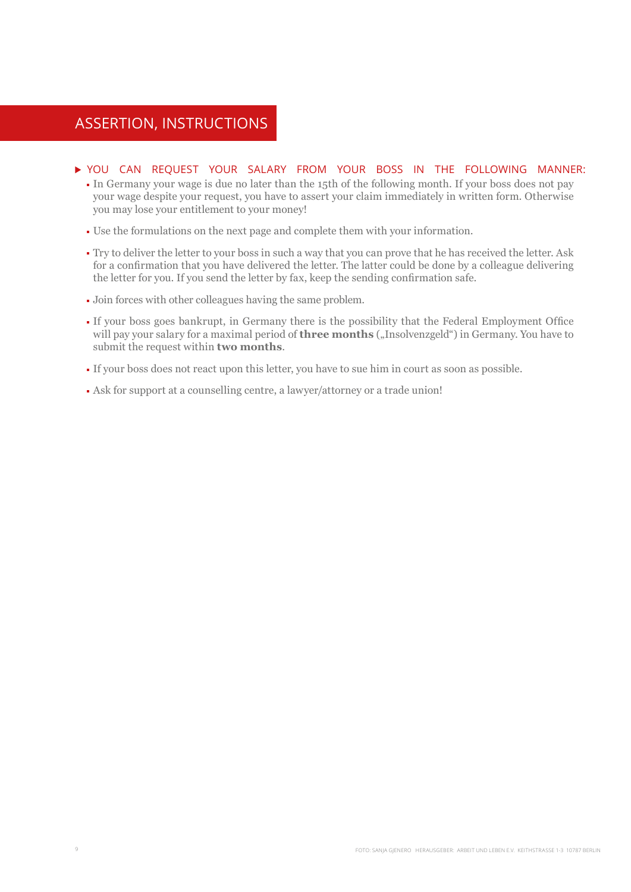### Assertion, Instructions

#### You can request your salary from your boss in the following manner:

- In Germany your wage is due no later than the 15th of the following month. If your boss does not pay your wage despite your request, you have to assert your claim immediately in written form. Otherwise you may lose your entitlement to your money!
- Use the formulations on the next page and complete them with your information.
- Try to deliver the letter to your boss in such a way that you can prove that he has received the letter. Ask for a confirmation that you have delivered the letter. The latter could be done by a colleague delivering the letter for you. If you send the letter by fax, keep the sending confirmation safe.
- Join forces with other colleagues having the same problem.
- If your boss goes bankrupt, in Germany there is the possibility that the Federal Employment Office will pay your salary for a maximal period of **three months** ("Insolvenzgeld") in Germany. You have to submit the request within **two months**.
- If your boss does not react upon this letter, you have to sue him in court as soon as possible.
- Ask for support at a counselling centre, a lawyer/attorney or a trade union!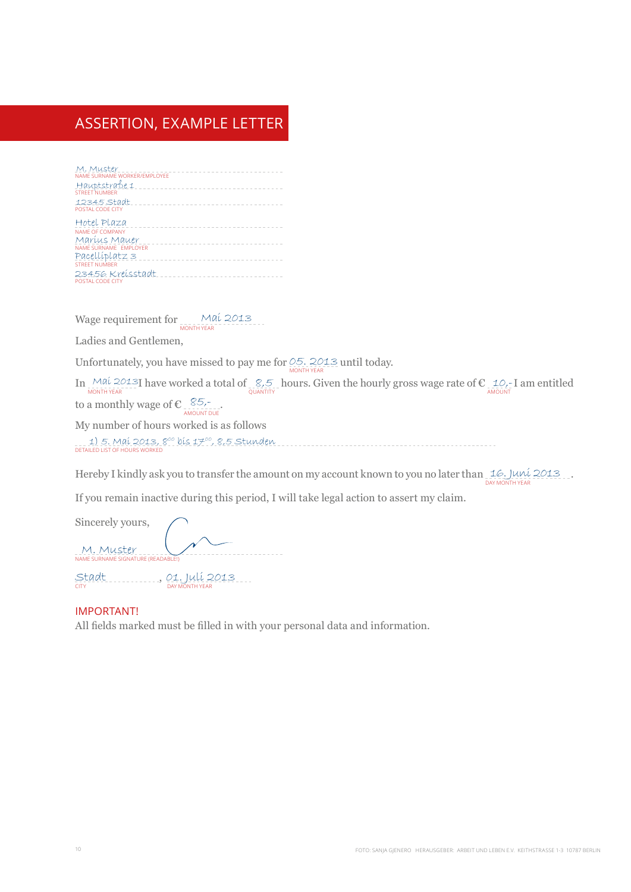## Assertion, Example Letter

| M. Muster<br>NAME SURNAME WORKER/EMPLOYEE<br>Hauptstrabe 1<br><b>STREET NUMBER</b> |  |  |  |  |  |  |  |  |  |  |
|------------------------------------------------------------------------------------|--|--|--|--|--|--|--|--|--|--|
| 12345 Stadt<br>POSTAL CODE CITY                                                    |  |  |  |  |  |  |  |  |  |  |
| Hotel Plaza<br><b>NAME OF COMPANY</b>                                              |  |  |  |  |  |  |  |  |  |  |
| Maríus Mauer<br>NAME SURNAME EMPLOYER                                              |  |  |  |  |  |  |  |  |  |  |
| Pacellíplatz 3<br><b>STREET NUMBER</b>                                             |  |  |  |  |  |  |  |  |  |  |
| 23456 Kreisstadt<br>POSTAL CODE CITY                                               |  |  |  |  |  |  |  |  |  |  |

Wage requirement for Mai 2013

Ladies and Gentlemen,

Unfortunately, you have missed to pay me for  $\frac{0.5}{N}$  2013 until today.

In  $\frac{M\alpha\acute{\iota}}{M\text{ONTHYEAR}}$  have worked a total of  $\frac{S}{N}$  hours. Given the hourly gross wage rate of  $\mathbb{C}$  10,-I am entitled to a monthly wage of  $\epsilon_{\frac{85}{\text{AMOUNT DUE}}}.$ 

My number of hours worked is as follows

. . . 1) 5. Maí 2013, 8<sup>00</sup> bís 17<sup>00</sup>, 8,5 Stunden<br>detailed list of hours worked

Hereby I kindly ask you to transfer the amount on my account known to you no later than  $\frac{1}{\text{DAY MONTH YEAR}}$ 

If you remain inactive during this period, I will take legal action to assert my claim.

Sincerely yours, NAME SURNAME SIGNATURE (READA M. Muster

Stadt<br><sup>CITY</sup> DAY MONTH YEAR<br>DAY MONTH YEAR

#### important!

All fields marked must be filled in with your personal data and information.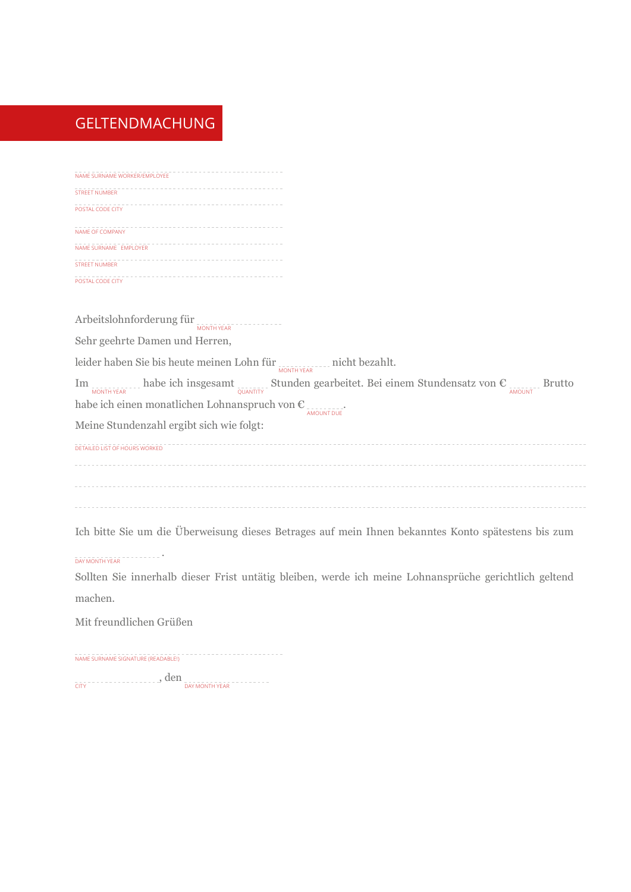### geltendmachung

| NAME SURNAME WORKER/EMPLOYEE |  |
|------------------------------|--|
| <b>STREET NUMBER</b>         |  |
| POSTAL CODE CITY             |  |
| <b>NAME OF COMPANY</b>       |  |
| NAME SURNAME EMPLOYER        |  |
| <b>STREET NUMBER</b>         |  |
| POSTAL CODE CITY             |  |

Arbeitslohnforderung für <sub>MONTH YEAR</sub>

Sehr geehrte Damen und Herren,

leider haben Sie bis heute meinen Lohn für wontt vear micht bezahlt.

Im  $\frac{1}{\text{MOMTHYEAR}}$  habe ich insgesamt  $\frac{1}{\text{MOMHTYF}}$  Stunden gearbeitet. Bei einem Stundensatz von  $\epsilon$ habe ich einen monatlichen Lohnanspruch von  $\epsilon_{\frac{1}{\text{AMOUNTOUE}}}$ 

Meine Stundenzahl ergibt sich wie folgt:

detailed list of hours worked

Ich bitte Sie um die Überweisung dieses Betrages auf mein Ihnen bekanntes Konto spätestens bis zum

### day Month year .

Sollten Sie innerhalb dieser Frist untätig bleiben, werde ich meine Lohnansprüche gerichtlich geltend machen.

Mit freundlichen Grüßen

Name SurName signature (readabLe!)

 $\overline{\rm{cm}}$  , den  $\overline{\rm{cm}}$  , den  $\overline{\rm{cm}}$  day month year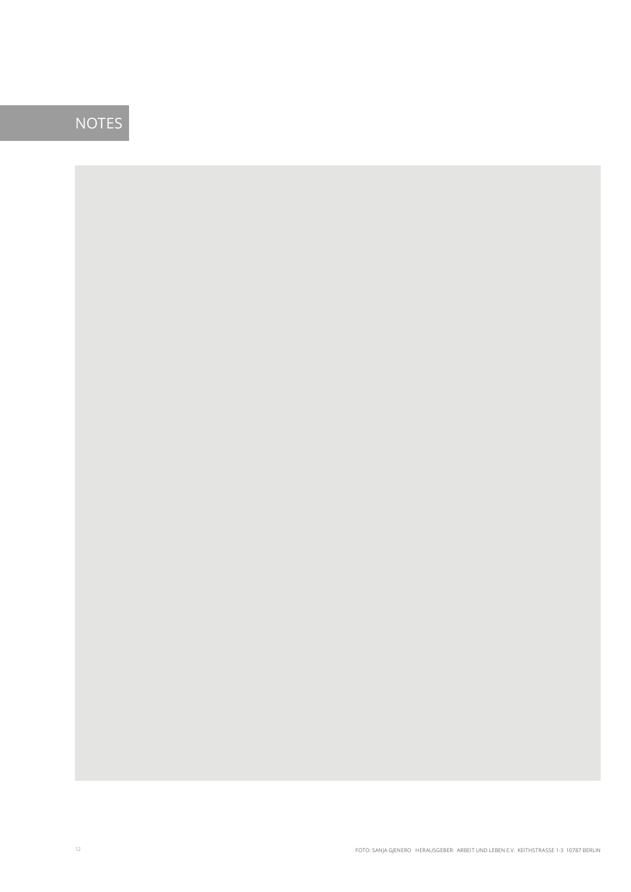## **NOTES**